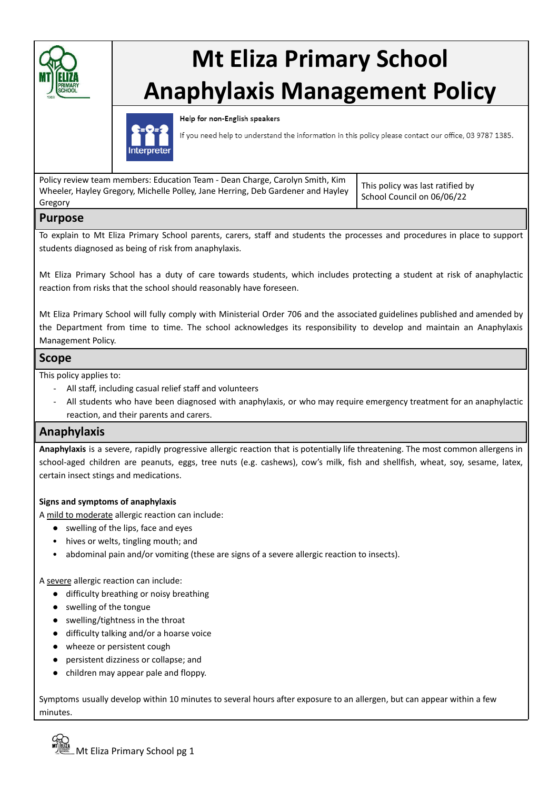

# **Mt Eliza Primary School Anaphylaxis Management Policy**



Help for non-English speakers

If you need help to understand the information in this policy please contact our office, 03 9787 1385.

| Policy review team members: Education Team - Dean Charge, Carolyn Smith, Kim<br>Wheeler, Hayley Gregory, Michelle Polley, Jane Herring, Deb Gardener and Hayley<br>Gregory | This policy was last ratified by<br>School Council on 06/06/22 |
|----------------------------------------------------------------------------------------------------------------------------------------------------------------------------|----------------------------------------------------------------|
|                                                                                                                                                                            |                                                                |

## **Purpose**

To explain to Mt Eliza Primary School parents, carers, staff and students the processes and procedures in place to support students diagnosed as being of risk from anaphylaxis.

Mt Eliza Primary School has a duty of care towards students, which includes protecting a student at risk of anaphylactic reaction from risks that the school should reasonably have foreseen.

Mt Eliza Primary School will fully comply with Ministerial Order 706 and the associated guidelines published and amended by the Department from time to time. The school acknowledges its responsibility to develop and maintain an Anaphylaxis Management Policy.

## **Scope**

This policy applies to:

- All staff, including casual relief staff and volunteers
- All students who have been diagnosed with anaphylaxis, or who may require emergency treatment for an anaphylactic reaction, and their parents and carers.

# **Anaphylaxis**

**Anaphylaxis** is a severe, rapidly progressive allergic reaction that is potentially life threatening. The most common allergens in school-aged children are peanuts, eggs, tree nuts (e.g. cashews), cow's milk, fish and shellfish, wheat, soy, sesame, latex, certain insect stings and medications.

## **Signs and symptoms of anaphylaxis**

A mild to moderate allergic reaction can include:

- swelling of the lips, face and eyes
- hives or welts, tingling mouth; and
- abdominal pain and/or vomiting (these are signs of a severe allergic reaction to insects).

A severe allergic reaction can include:

- difficulty breathing or noisy breathing
- swelling of the tongue
- swelling/tightness in the throat
- difficulty talking and/or a hoarse voice
- wheeze or persistent cough
- persistent dizziness or collapse; and
- children may appear pale and floppy.

Symptoms usually develop within 10 minutes to several hours after exposure to an allergen, but can appear within a few minutes.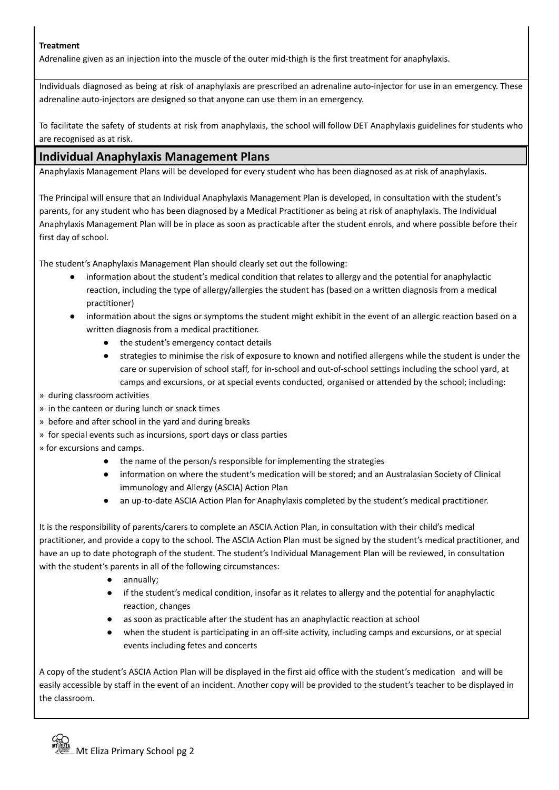## **Treatment**

Adrenaline given as an injection into the muscle of the outer mid-thigh is the first treatment for anaphylaxis.

Individuals diagnosed as being at risk of anaphylaxis are prescribed an adrenaline auto-injector for use in an emergency. These adrenaline auto-injectors are designed so that anyone can use them in an emergency.

To facilitate the safety of students at risk from anaphylaxis, the school will follow DET Anaphylaxis guidelines for students who are recognised as at risk.

# **Individual Anaphylaxis Management Plans**

Anaphylaxis Management Plans will be developed for every student who has been diagnosed as at risk of anaphylaxis.

The Principal will ensure that an Individual Anaphylaxis Management Plan is developed, in consultation with the student's parents, for any student who has been diagnosed by a Medical Practitioner as being at risk of anaphylaxis. The Individual Anaphylaxis Management Plan will be in place as soon as practicable after the student enrols, and where possible before their first day of school.

The student's Anaphylaxis Management Plan should clearly set out the following:

- information about the student's medical condition that relates to allergy and the potential for anaphylactic reaction, including the type of allergy/allergies the student has (based on a written diagnosis from a medical practitioner)
- information about the signs or symptoms the student might exhibit in the event of an allergic reaction based on a written diagnosis from a medical practitioner.
	- the student's emergency contact details
	- strategies to minimise the risk of exposure to known and notified allergens while the student is under the care or supervision of school staff, for in-school and out-of-school settings including the school yard, at camps and excursions, or at special events conducted, organised or attended by the school; including:
- » during classroom activities
- » in the canteen or during lunch or snack times
- » before and after school in the yard and during breaks
- » for special events such as incursions, sport days or class parties
- » for excursions and camps.
	- the name of the person/s responsible for implementing the strategies
	- information on where the student's medication will be stored; and an Australasian Society of Clinical immunology and Allergy (ASCIA) Action Plan
	- an up-to-date ASCIA Action Plan for Anaphylaxis completed by the student's medical practitioner.

It is the responsibility of parents/carers to complete an ASCIA Action Plan, in consultation with their child's medical practitioner, and provide a copy to the school. The ASCIA Action Plan must be signed by the student's medical practitioner, and have an up to date photograph of the student. The student's Individual Management Plan will be reviewed, in consultation with the student's parents in all of the following circumstances:

- annually;
- if the student's medical condition, insofar as it relates to allergy and the potential for anaphylactic reaction, changes
- as soon as practicable after the student has an anaphylactic reaction at school
- when the student is participating in an off-site activity, including camps and excursions, or at special events including fetes and concerts

A copy of the student's ASCIA Action Plan will be displayed in the first aid office with the student's medication and will be easily accessible by staff in the event of an incident. Another copy will be provided to the student's teacher to be displayed in the classroom.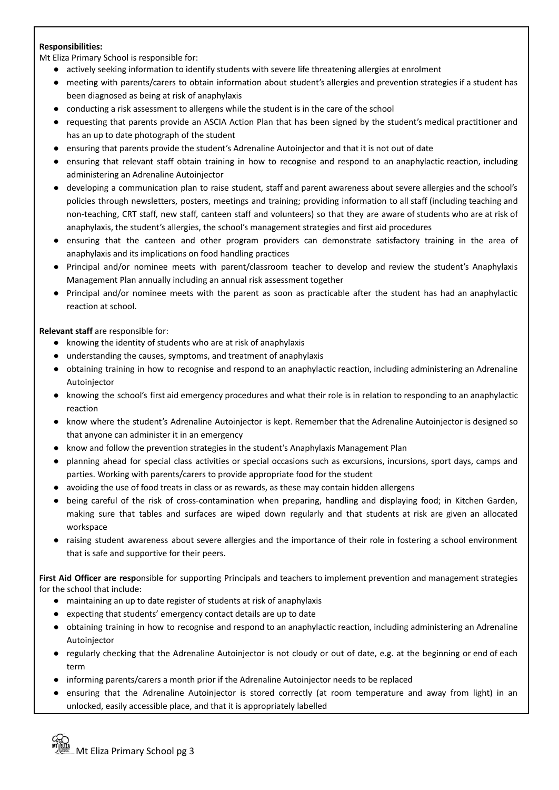## **Responsibilities:**

Mt Eliza Primary School is responsible for:

- actively seeking information to identify students with severe life threatening allergies at enrolment
- meeting with parents/carers to obtain information about student's allergies and prevention strategies if a student has been diagnosed as being at risk of anaphylaxis
- conducting a risk assessment to allergens while the student is in the care of the school
- requesting that parents provide an ASCIA Action Plan that has been signed by the student's medical practitioner and has an up to date photograph of the student
- ensuring that parents provide the student's Adrenaline Autoinjector and that it is not out of date
- ensuring that relevant staff obtain training in how to recognise and respond to an anaphylactic reaction, including administering an Adrenaline Autoinjector
- developing a communication plan to raise student, staff and parent awareness about severe allergies and the school's policies through newsletters, posters, meetings and training; providing information to all staff (including teaching and non-teaching, CRT staff, new staff, canteen staff and volunteers) so that they are aware of students who are at risk of anaphylaxis, the student's allergies, the school's management strategies and first aid procedures
- ensuring that the canteen and other program providers can demonstrate satisfactory training in the area of anaphylaxis and its implications on food handling practices
- Principal and/or nominee meets with parent/classroom teacher to develop and review the student's Anaphylaxis Management Plan annually including an annual risk assessment together
- Principal and/or nominee meets with the parent as soon as practicable after the student has had an anaphylactic reaction at school.

## **Relevant staff** are responsible for:

- knowing the identity of students who are at risk of anaphylaxis
- understanding the causes, symptoms, and treatment of anaphylaxis
- obtaining training in how to recognise and respond to an anaphylactic reaction, including administering an Adrenaline Autoinjector
- knowing the school's first aid emergency procedures and what their role is in relation to responding to an anaphylactic reaction
- know where the student's Adrenaline Autoinjector is kept. Remember that the Adrenaline Autoinjector is designed so that anyone can administer it in an emergency
- know and follow the prevention strategies in the student's Anaphylaxis Management Plan
- planning ahead for special class activities or special occasions such as excursions, incursions, sport days, camps and parties. Working with parents/carers to provide appropriate food for the student
- avoiding the use of food treats in class or as rewards, as these may contain hidden allergens
- being careful of the risk of cross-contamination when preparing, handling and displaying food; in Kitchen Garden, making sure that tables and surfaces are wiped down regularly and that students at risk are given an allocated workspace
- raising student awareness about severe allergies and the importance of their role in fostering a school environment that is safe and supportive for their peers.

**First Aid Officer are resp**onsible for supporting Principals and teachers to implement prevention and management strategies for the school that include:

- maintaining an up to date register of students at risk of anaphylaxis
- expecting that students' emergency contact details are up to date
- obtaining training in how to recognise and respond to an anaphylactic reaction, including administering an Adrenaline Autoinjector
- regularly checking that the Adrenaline Autoinjector is not cloudy or out of date, e.g. at the beginning or end of each term
- informing parents/carers a month prior if the Adrenaline Autoinjector needs to be replaced
- ensuring that the Adrenaline Autoinjector is stored correctly (at room temperature and away from light) in an unlocked, easily accessible place, and that it is appropriately labelled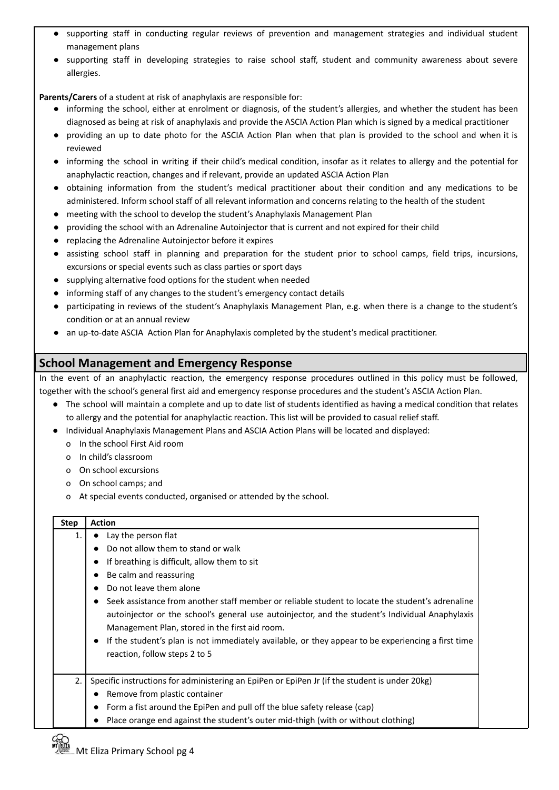- supporting staff in conducting regular reviews of prevention and management strategies and individual student management plans
- supporting staff in developing strategies to raise school staff, student and community awareness about severe allergies.

**Parents/Carers** of a student at risk of anaphylaxis are responsible for:

- informing the school, either at enrolment or diagnosis, of the student's allergies, and whether the student has been diagnosed as being at risk of anaphylaxis and provide the ASCIA Action Plan which is signed by a medical practitioner
- providing an up to date photo for the ASCIA Action Plan when that plan is provided to the school and when it is reviewed
- informing the school in writing if their child's medical condition, insofar as it relates to allergy and the potential for anaphylactic reaction, changes and if relevant, provide an updated ASCIA Action Plan
- obtaining information from the student's medical practitioner about their condition and any medications to be administered. Inform school staff of all relevant information and concerns relating to the health of the student
- meeting with the school to develop the student's Anaphylaxis Management Plan
- providing the school with an Adrenaline Autoinjector that is current and not expired for their child
- replacing the Adrenaline Autoinjector before it expires
- assisting school staff in planning and preparation for the student prior to school camps, field trips, incursions, excursions or special events such as class parties or sport days
- supplying alternative food options for the student when needed
- informing staff of any changes to the student's emergency contact details
- participating in reviews of the student's Anaphylaxis Management Plan, e.g. when there is a change to the student's condition or at an annual review
- an up-to-date ASCIA Action Plan for Anaphylaxis completed by the student's medical practitioner.

# **School Management and Emergency Response**

In the event of an anaphylactic reaction, the emergency response procedures outlined in this policy must be followed, together with the school's general first aid and emergency response procedures and the student's ASCIA Action Plan.

- **●** The school will maintain a complete and up to date list of students identified as having a medical condition that relates to allergy and the potential for anaphylactic reaction. This list will be provided to casual relief staff.
- **●** Individual Anaphylaxis Management Plans and ASCIA Action Plans will be located and displayed:
	- o In the school First Aid room
	- o In child's classroom
	- o On school excursions
	- o On school camps; and
	- o At special events conducted, organised or attended by the school.

# **Step Action** 1.  $\bullet$  Lay the person flat ● Do not allow them to stand or walk ● If breathing is difficult, allow them to sit ● Be calm and reassuring ● Do not leave them alone ● Seek assistance from another staff member or reliable student to locate the student's adrenaline autoinjector or the school's general use autoinjector, and the student's Individual Anaphylaxis Management Plan, stored in the first aid room. ● If the student's plan is not immediately available, or they appear to be experiencing a first time reaction, follow steps 2 to 5 2. Specific instructions for administering an EpiPen or EpiPen Jr (if the student is under 20kg) ● Remove from plastic container ● Form a fist around the EpiPen and pull off the blue safety release (cap) Place orange end against the student's outer mid-thigh (with or without clothing)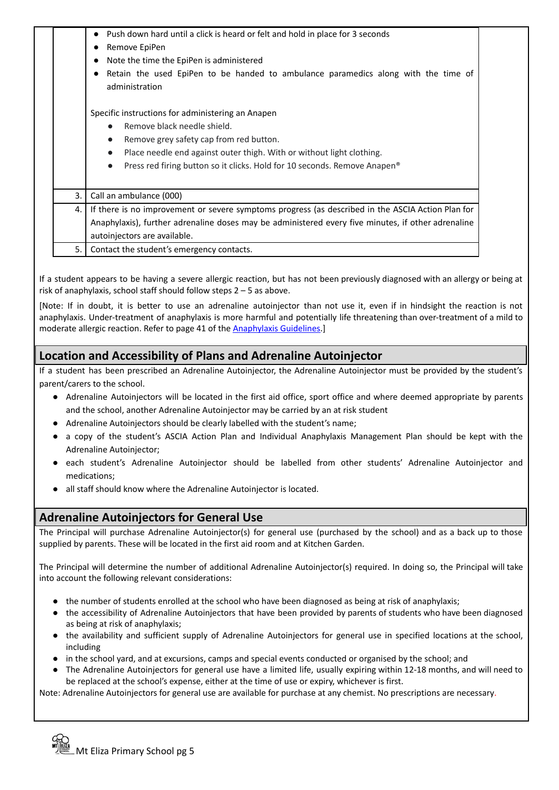|    | Push down hard until a click is heard or felt and hold in place for 3 seconds                      |
|----|----------------------------------------------------------------------------------------------------|
|    | Remove EpiPen                                                                                      |
|    | Note the time the EpiPen is administered                                                           |
|    | Retain the used EpiPen to be handed to ambulance paramedics along with the time of                 |
|    | administration                                                                                     |
|    | Specific instructions for administering an Anapen                                                  |
|    |                                                                                                    |
|    | Remove black needle shield.                                                                        |
|    | Remove grey safety cap from red button.<br>$\bullet$                                               |
|    | Place needle end against outer thigh. With or without light clothing.<br>$\bullet$                 |
|    | Press red firing button so it clicks. Hold for 10 seconds. Remove Anapen®                          |
| 3. | Call an ambulance (000)                                                                            |
| 4. | If there is no improvement or severe symptoms progress (as described in the ASCIA Action Plan for  |
|    | Anaphylaxis), further adrenaline doses may be administered every five minutes, if other adrenaline |
|    | autoinjectors are available.                                                                       |
| 5. | Contact the student's emergency contacts.                                                          |

If a student appears to be having a severe allergic reaction, but has not been previously diagnosed with an allergy or being at risk of anaphylaxis, school staff should follow steps 2 – 5 as above.

[Note: If in doubt, it is better to use an adrenaline autoinjector than not use it, even if in hindsight the reaction is not anaphylaxis. Under-treatment of anaphylaxis is more harmful and potentially life threatening than over-treatment of a mild to moderate allergic reaction. Refer to page 41 of the [Anaphylaxis](http://www.education.vic.gov.au/school/teachers/health/pages/anaphylaxisschl.aspx) Guidelines.]

# **Location and Accessibility of Plans and Adrenaline Autoinjector**

If a student has been prescribed an Adrenaline Autoinjector, the Adrenaline Autoinjector must be provided by the student's parent/carers to the school.

- Adrenaline Autoiniectors will be located in the first aid office, sport office and where deemed appropriate by parents and the school, another Adrenaline Autoinjector may be carried by an at risk student
- Adrenaline Autoinjectors should be clearly labelled with the student's name;
- a copy of the student's ASCIA Action Plan and Individual Anaphylaxis Management Plan should be kept with the Adrenaline Autoinjector;
- each student's Adrenaline Autoinjector should be labelled from other students' Adrenaline Autoinjector and medications;
- all staff should know where the Adrenaline Autoinjector is located.

## **Adrenaline Autoinjectors for General Use**

The Principal will purchase Adrenaline Autoinjector(s) for general use (purchased by the school) and as a back up to those supplied by parents. These will be located in the first aid room and at Kitchen Garden.

The Principal will determine the number of additional Adrenaline Autoinjector(s) required. In doing so, the Principal will take into account the following relevant considerations:

- the number of students enrolled at the school who have been diagnosed as being at risk of anaphylaxis;
- the accessibility of Adrenaline Autoinjectors that have been provided by parents of students who have been diagnosed as being at risk of anaphylaxis;
- the availability and sufficient supply of Adrenaline Autoinjectors for general use in specified locations at the school, including
- in the school yard, and at excursions, camps and special events conducted or organised by the school; and
- The Adrenaline Autoinjectors for general use have a limited life, usually expiring within 12-18 months, and will need to be replaced at the school's expense, either at the time of use or expiry, whichever is first.

Note: Adrenaline Autoinjectors for general use are available for purchase at any chemist. No prescriptions are necessary.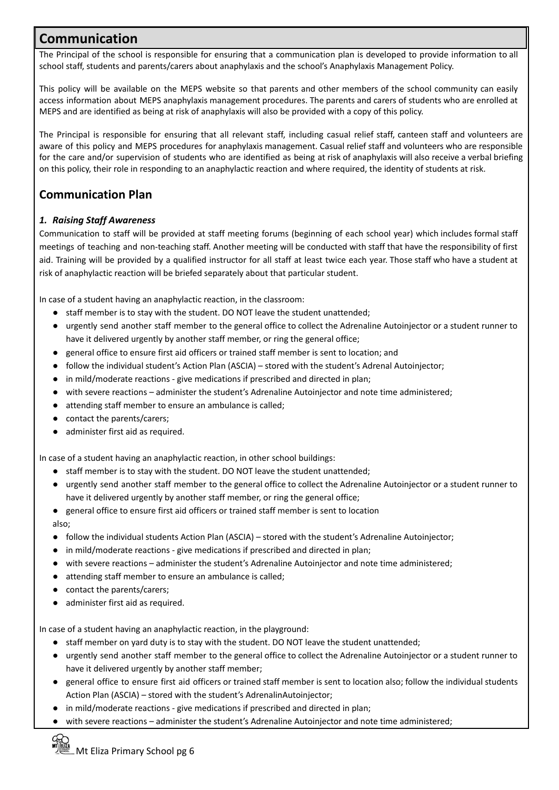# **Communication**

The Principal of the school is responsible for ensuring that a communication plan is developed to provide information to all school staff, students and parents/carers about anaphylaxis and the school's Anaphylaxis Management Policy.

This policy will be available on the MEPS website so that parents and other members of the school community can easily access information about MEPS anaphylaxis management procedures. The parents and carers of students who are enrolled at MEPS and are identified as being at risk of anaphylaxis will also be provided with a copy of this policy.

The Principal is responsible for ensuring that all relevant staff, including casual relief staff, canteen staff and volunteers are aware of this policy and MEPS procedures for anaphylaxis management. Casual relief staff and volunteers who are responsible for the care and/or supervision of students who are identified as being at risk of anaphylaxis will also receive a verbal briefing on this policy, their role in responding to an anaphylactic reaction and where required, the identity of students at risk.

# **Communication Plan**

## *1. Raising Staff Awareness*

Communication to staff will be provided at staff meeting forums (beginning of each school year) which includes formal staff meetings of teaching and non-teaching staff. Another meeting will be conducted with staff that have the responsibility of first aid. Training will be provided by a qualified instructor for all staff at least twice each year. Those staff who have a student at risk of anaphylactic reaction will be briefed separately about that particular student.

In case of a student having an anaphylactic reaction, in the classroom:

- **●** staff member is to stay with the student. DO NOT leave the student unattended;
- urgently send another staff member to the general office to collect the Adrenaline Autoinjector or a student runner to have it delivered urgently by another staff member, or ring the general office;
- general office to ensure first aid officers or trained staff member is sent to location; and
- follow the individual student's Action Plan (ASCIA) stored with the student's Adrenal Autoinjector;
- in mild/moderate reactions give medications if prescribed and directed in plan;
- with severe reactions administer the student's Adrenaline Autoinjector and note time administered;
- attending staff member to ensure an ambulance is called;
- contact the parents/carers;
- administer first aid as required.

In case of a student having an anaphylactic reaction, in other school buildings:

- **●** staff member is to stay with the student. DO NOT leave the student unattended;
- urgently send another staff member to the general office to collect the Adrenaline Autoinjector or a student runner to have it delivered urgently by another staff member, or ring the general office;
- general office to ensure first aid officers or trained staff member is sent to location
- also;
- follow the individual students Action Plan (ASCIA) stored with the student's Adrenaline Autoinjector;
- in mild/moderate reactions give medications if prescribed and directed in plan;
- with severe reactions administer the student's Adrenaline Autoinjector and note time administered;
- attending staff member to ensure an ambulance is called;
- contact the parents/carers;
- administer first aid as required.

In case of a student having an anaphylactic reaction, in the playground:

- **●** staff member on yard duty is to stay with the student. DO NOT leave the student unattended;
- urgently send another staff member to the general office to collect the Adrenaline Autoinjector or a student runner to have it delivered urgently by another staff member;
- general office to ensure first aid officers or trained staff member is sent to location also; follow the individual students Action Plan (ASCIA) – stored with the student's AdrenalinAutoinjector;
- in mild/moderate reactions give medications if prescribed and directed in plan;
- with severe reactions administer the student's Adrenaline Autoinjector and note time administered;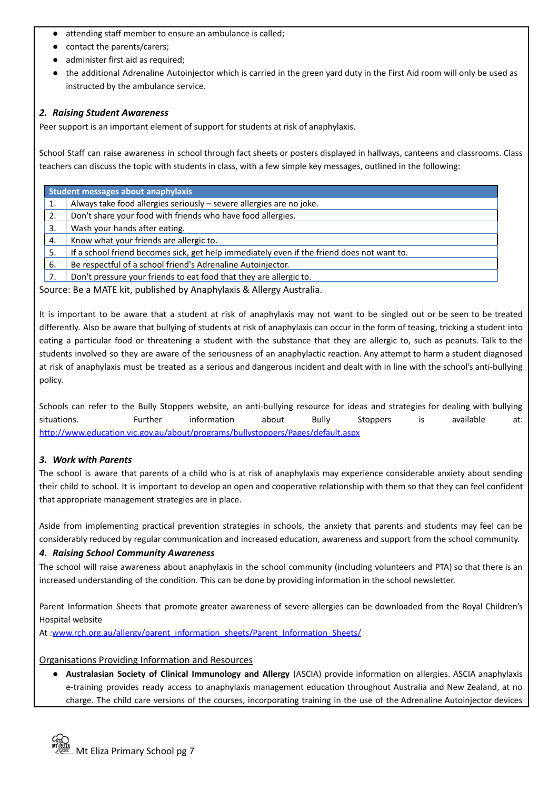- attending staff member to ensure an ambulance is called;
- contact the parents/carers;
- administer first aid as required;
- the additional Adrenaline Autoinjector which is carried in the green yard duty in the First Aid room will only be used as instructed by the ambulance service.

#### *2. Raising Student Awareness*

Peer support is an important element of support for students at risk of anaphylaxis.

School Staff can raise awareness in school through fact sheets or posters displayed in hallways, canteens and classrooms. Class teachers can discuss the topic with students in class, with a few simple key messages, outlined in the following:

| Student messages about anaphylaxis                                   |                                                                                            |  |
|----------------------------------------------------------------------|--------------------------------------------------------------------------------------------|--|
| 1.                                                                   | Always take food allergies seriously - severe allergies are no joke.                       |  |
| 2.                                                                   | Don't share your food with friends who have food allergies.                                |  |
| 3.                                                                   | Wash your hands after eating.                                                              |  |
| 4.                                                                   | Know what your friends are allergic to.                                                    |  |
| 5.                                                                   | If a school friend becomes sick, get help immediately even if the friend does not want to. |  |
| 6.                                                                   | Be respectful of a school friend's Adrenaline Autoinjector.                                |  |
| 7.                                                                   | Don't pressure your friends to eat food that they are allergic to.                         |  |
| Source: Be a MATE kit, published by Anaphylaxis & Allergy Australia. |                                                                                            |  |

It is important to be aware that a student at risk of anaphylaxis may not want to be singled out or be seen to be treated differently. Also be aware that bullying of students at risk of anaphylaxis can occur in the form of teasing, tricking a student into eating a particular food or threatening a student with the substance that they are allergic to, such as peanuts. Talk to the students involved so they are aware of the seriousness of an anaphylactic reaction. Any attempt to harm a student diagnosed at risk of anaphylaxis must be treated as a serious and dangerous incident and dealt with in line with the school's anti-bullying policy.

Schools can refer to the Bully Stoppers website*,* an anti-bullying resource for ideas and strategies for dealing with bullying situations. Further information about Bully Stoppers is available at: <http://www.education.vic.gov.au/about/programs/bullystoppers/Pages/default.aspx>

#### *3. Work with Parents*

The school is aware that parents of a child who is at risk of anaphylaxis may experience considerable anxiety about sending their child to school. It is important to develop an open and cooperative relationship with them so that they can feel confident that appropriate management strategies are in place.

Aside from implementing practical prevention strategies in schools, the anxiety that parents and students may feel can be considerably reduced by regular communication and increased education, awareness and support from the school community.

#### *4. Raising School Community Awareness*

The school will raise awareness about anaphylaxis in the school community (including volunteers and PTA) so that there is an increased understanding of the condition. This can be done by providing information in the school newsletter.

Parent Information Sheets that promote greater awareness of severe allergies can be downloaded from the Royal Children's Hospital website

At :[www.rch.org.au/allergy/parent\\_information\\_sheets/Parent\\_Information\\_Sheets/](http://www.rch.org.au/allergy/parent_information_sheets/Parent_Information_Sheets/)

#### Organisations Providing Information and Resources

● **Australasian Society of Clinical Immunology and Allergy** (ASCIA) provide information on allergies. ASCIA anaphylaxis e-training provides ready access to anaphylaxis management education throughout Australia and New Zealand, at no charge. The child care versions of the courses, incorporating training in the use of the Adrenaline Autoinjector devices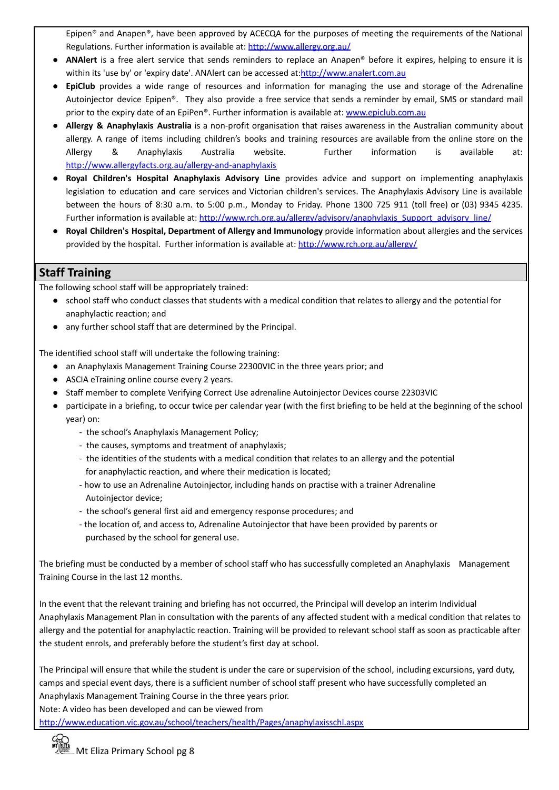Epipen® and Anapen®, have been approved by ACECQA for the purposes of meeting the requirements of the National Regulations. Further information is available at: <http://www.allergy.org.au/>

- **ANAlert** is a free alert service that sends reminders to replace an Anapen® before it expires, helping to ensure it is within its 'use by' or 'expiry date'. ANAlert can be accessed at:<http://www.analert.com.au>
- **EpiClub** provides a wide range of resources and information for managing the use and storage of the Adrenaline Autoinjector device Epipen®. They also provide a free service that sends a reminder by email, SMS or standard mail prior to the expiry date of an EpiPen®. Further information is available at: [www.epiclub.com.au](http://www.epiclub.com.au)
- **Allergy & Anaphylaxis Australia** is a non-profit organisation that raises awareness in the Australian community about allergy. A range of items including children's books and training resources are available from the online store on the Allergy & Anaphylaxis Australia website. Further information is available at: <http://www.allergyfacts.org.au/allergy-and-anaphylaxis>
- **Royal Children's Hospital Anaphylaxis Advisory Line** provides advice and support on implementing anaphylaxis legislation to education and care services and Victorian children's services. The Anaphylaxis Advisory Line is available between the hours of 8:30 a.m. to 5:00 p.m., Monday to Friday. Phone 1300 725 911 (toll free) or (03) 9345 4235. Further information is available at: [http://www.rch.org.au/allergy/advisory/anaphylaxis\\_Support\\_advisory\\_line/](http://www.rch.org.au/allergy/advisory/anaphylaxis_Support_advisory_line/)
- **Royal Children's Hospital, Department of Allergy and Immunology** provide information about allergies and the services provided by the hospital. Further information is available at: <http://www.rch.org.au/allergy/>

## **Staff Training**

The following school staff will be appropriately trained:

- school staff who conduct classes that students with a medical condition that relates to allergy and the potential for anaphylactic reaction; and
- any further school staff that are determined by the Principal.

The identified school staff will undertake the following training:

- an Anaphylaxis Management Training Course 22300VIC in the three years prior; and
- ASCIA eTraining online course every 2 years.
- Staff member to complete Verifying Correct Use adrenaline Autoinjector Devices course 22303VIC
- participate in a briefing, to occur twice per calendar year (with the first briefing to be held at the beginning of the school year) on:
	- the school's Anaphylaxis Management Policy;
	- the causes, symptoms and treatment of anaphylaxis;
	- the identities of the students with a medical condition that relates to an allergy and the potential for anaphylactic reaction, and where their medication is located;
	- how to use an Adrenaline Autoinjector, including hands on practise with a trainer Adrenaline Autoinjector device;
	- the school's general first aid and emergency response procedures; and
	- the location of, and access to, Adrenaline Autoinjector that have been provided by parents or purchased by the school for general use.

The briefing must be conducted by a member of school staff who has successfully completed an Anaphylaxis Management Training Course in the last 12 months.

In the event that the relevant training and briefing has not occurred, the Principal will develop an interim Individual Anaphylaxis Management Plan in consultation with the parents of any affected student with a medical condition that relates to allergy and the potential for anaphylactic reaction. Training will be provided to relevant school staff as soon as practicable after the student enrols, and preferably before the student's first day at school.

The Principal will ensure that while the student is under the care or supervision of the school, including excursions, yard duty, camps and special event days, there is a sufficient number of school staff present who have successfully completed an Anaphylaxis Management Training Course in the three years prior.

Note: A video has been developed and can be viewed from

<http://www.education.vic.gov.au/school/teachers/health/Pages/anaphylaxisschl.aspx>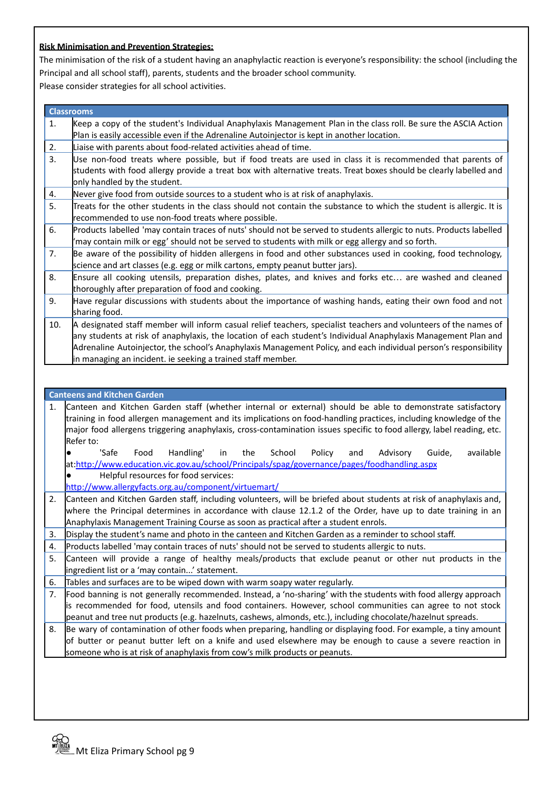#### **Risk Minimisation and Prevention Strategies:**

The minimisation of the risk of a student having an anaphylactic reaction is everyone's responsibility: the school (including the Principal and all school staff), parents, students and the broader school community.

Please consider strategies for all school activities.

| <b>Classrooms</b> |
|-------------------|
|                   |
|                   |

- 1. Keep a copy of the student's Individual Anaphylaxis Management Plan in the class roll. Be sure the ASCIA Action Plan is easily accessible even if the Adrenaline Autoinjector is kept in another location.
- 2. Liaise with parents about food-related activities ahead of time.
- 3. Use non-food treats where possible, but if food treats are used in class it is recommended that parents of students with food allergy provide a treat box with alternative treats. Treat boxes should be clearly labelled and only handled by the student.
- 4. Never give food from outside sources to a student who is at risk of anaphylaxis.
- 5. Treats for the other students in the class should not contain the substance to which the student is allergic. It is recommended to use non-food treats where possible.
- 6. Products labelled 'may contain traces of nuts' should not be served to students allergic to nuts. Products labelled 'may contain milk or egg' should not be served to students with milk or egg allergy and so forth.
- 7. Be aware of the possibility of hidden allergens in food and other substances used in cooking, food technology, science and art classes (e.g. egg or milk cartons, empty peanut butter jars).
- 8. Ensure all cooking utensils, preparation dishes, plates, and knives and forks etc… are washed and cleaned thoroughly after preparation of food and cooking.
- 9. Have regular discussions with students about the importance of washing hands, eating their own food and not sharing food.
- 10. A designated staff member will inform casual relief teachers, specialist teachers and volunteers of the names of any students at risk of anaphylaxis, the location of each student's Individual Anaphylaxis Management Plan and Adrenaline Autoinjector, the school's Anaphylaxis Management Policy, and each individual person's responsibility in managing an incident. ie seeking a trained staff member.

#### **Canteens and Kitchen Garden**

- 1. Canteen and Kitchen Garden staff (whether internal or external) should be able to demonstrate satisfactory training in food allergen management and its implications on food-handling practices, including knowledge of the major food allergens triggering anaphylaxis, cross-contamination issues specific to food allergy, label reading, etc. Refer to:
	- 'Safe Food Handling' in the School Policy and Advisory Guide, available at[:http://www.education.vic.gov.au/school/Principals/spag/governance/pages/foodhandling.aspx](http://www.education.vic.gov.au/school/principals/spag/governance/pages/foodhandling.aspx) Helpful resources for food services:
	- <http://www.allergyfacts.org.au/component/virtuemart/>
- 2. Canteen and Kitchen Garden staff, including volunteers, will be briefed about students at risk of anaphylaxis and, where the Principal determines in accordance with clause 12.1.2 of the Order, have up to date training in an Anaphylaxis Management Training Course as soon as practical after a student enrols.
- 3. Display the student's name and photo in the canteen and Kitchen Garden as a reminder to school staff.
- 4. Products labelled 'may contain traces of nuts' should not be served to students allergic to nuts.
- 5. Canteen will provide a range of healthy meals/products that exclude peanut or other nut products in the ingredient list or a 'may contain...' statement.
- 6. Tables and surfaces are to be wiped down with warm soapy water regularly.
- 7. Food banning is not generally recommended. Instead, a 'no-sharing' with the students with food allergy approach is recommended for food, utensils and food containers. However, school communities can agree to not stock peanut and tree nut products (e.g. hazelnuts, cashews, almonds, etc.), including chocolate/hazelnut spreads.
- 8. Be wary of contamination of other foods when preparing, handling or displaying food. For example, a tiny amount of butter or peanut butter left on a knife and used elsewhere may be enough to cause a severe reaction in someone who is at risk of anaphylaxis from cow's milk products or peanuts.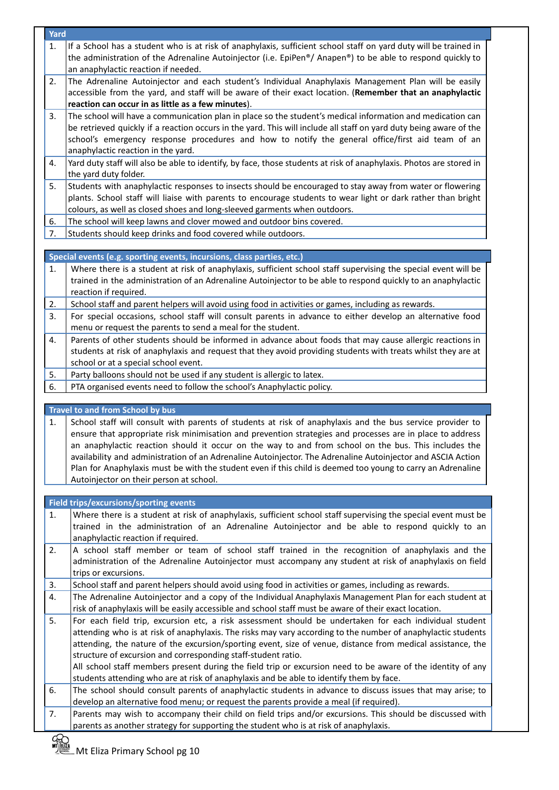| 1.                         | Yard                                                                                                                                                                                                                                                                                                                                                                                                                                                                                                                                                                                                                                                   |
|----------------------------|--------------------------------------------------------------------------------------------------------------------------------------------------------------------------------------------------------------------------------------------------------------------------------------------------------------------------------------------------------------------------------------------------------------------------------------------------------------------------------------------------------------------------------------------------------------------------------------------------------------------------------------------------------|
|                            | If a School has a student who is at risk of anaphylaxis, sufficient school staff on yard duty will be trained in<br>the administration of the Adrenaline Autoinjector (i.e. EpiPen®/ Anapen®) to be able to respond quickly to<br>an anaphylactic reaction if needed.                                                                                                                                                                                                                                                                                                                                                                                  |
| 2.                         | The Adrenaline Autoinjector and each student's Individual Anaphylaxis Management Plan will be easily<br>accessible from the yard, and staff will be aware of their exact location. (Remember that an anaphylactic<br>reaction can occur in as little as a few minutes).                                                                                                                                                                                                                                                                                                                                                                                |
| 3.                         | The school will have a communication plan in place so the student's medical information and medication can<br>be retrieved quickly if a reaction occurs in the yard. This will include all staff on yard duty being aware of the<br>school's emergency response procedures and how to notify the general office/first aid team of an<br>anaphylactic reaction in the yard.                                                                                                                                                                                                                                                                             |
| 4.                         | Yard duty staff will also be able to identify, by face, those students at risk of anaphylaxis. Photos are stored in<br>the yard duty folder.                                                                                                                                                                                                                                                                                                                                                                                                                                                                                                           |
| 5.                         | Students with anaphylactic responses to insects should be encouraged to stay away from water or flowering<br>plants. School staff will liaise with parents to encourage students to wear light or dark rather than bright<br>colours, as well as closed shoes and long-sleeved garments when outdoors.                                                                                                                                                                                                                                                                                                                                                 |
| 6.                         | The school will keep lawns and clover mowed and outdoor bins covered.                                                                                                                                                                                                                                                                                                                                                                                                                                                                                                                                                                                  |
| 7.                         | Students should keep drinks and food covered while outdoors.                                                                                                                                                                                                                                                                                                                                                                                                                                                                                                                                                                                           |
|                            | Special events (e.g. sporting events, incursions, class parties, etc.)                                                                                                                                                                                                                                                                                                                                                                                                                                                                                                                                                                                 |
| 1.                         | Where there is a student at risk of anaphylaxis, sufficient school staff supervising the special event will be<br>trained in the administration of an Adrenaline Autoinjector to be able to respond quickly to an anaphylactic<br>reaction if required.                                                                                                                                                                                                                                                                                                                                                                                                |
| 2.                         | School staff and parent helpers will avoid using food in activities or games, including as rewards.                                                                                                                                                                                                                                                                                                                                                                                                                                                                                                                                                    |
| 3.                         | For special occasions, school staff will consult parents in advance to either develop an alternative food<br>menu or request the parents to send a meal for the student.                                                                                                                                                                                                                                                                                                                                                                                                                                                                               |
| 4.                         | Parents of other students should be informed in advance about foods that may cause allergic reactions in<br>students at risk of anaphylaxis and request that they avoid providing students with treats whilst they are at<br>school or at a special school event.                                                                                                                                                                                                                                                                                                                                                                                      |
| 5.                         | Party balloons should not be used if any student is allergic to latex.                                                                                                                                                                                                                                                                                                                                                                                                                                                                                                                                                                                 |
| 6.                         | PTA organised events need to follow the school's Anaphylactic policy.                                                                                                                                                                                                                                                                                                                                                                                                                                                                                                                                                                                  |
|                            |                                                                                                                                                                                                                                                                                                                                                                                                                                                                                                                                                                                                                                                        |
| 1.                         | Travel to and from School by bus<br>School staff will consult with parents of students at risk of anaphylaxis and the bus service provider to<br>ensure that appropriate risk minimisation and prevention strategies and processes are in place to address<br>an anaphylactic reaction should it occur on the way to and from school on the bus. This includes the                                                                                                                                                                                                                                                                                     |
|                            | availability and administration of an Adrenaline Autoinjector. The Adrenaline Autoinjector and ASCIA Action<br>Plan for Anaphylaxis must be with the student even if this child is deemed too young to carry an Adrenaline<br>Autoinjector on their person at school.                                                                                                                                                                                                                                                                                                                                                                                  |
|                            |                                                                                                                                                                                                                                                                                                                                                                                                                                                                                                                                                                                                                                                        |
|                            | Field trips/excursions/sporting events<br>anaphylactic reaction if required.                                                                                                                                                                                                                                                                                                                                                                                                                                                                                                                                                                           |
|                            | trips or excursions.                                                                                                                                                                                                                                                                                                                                                                                                                                                                                                                                                                                                                                   |
|                            | School staff and parent helpers should avoid using food in activities or games, including as rewards.                                                                                                                                                                                                                                                                                                                                                                                                                                                                                                                                                  |
|                            | Where there is a student at risk of anaphylaxis, sufficient school staff supervising the special event must be<br>trained in the administration of an Adrenaline Autoinjector and be able to respond quickly to an<br>A school staff member or team of school staff trained in the recognition of anaphylaxis and the<br>administration of the Adrenaline Autoinjector must accompany any student at risk of anaphylaxis on field<br>The Adrenaline Autoinjector and a copy of the Individual Anaphylaxis Management Plan for each student at<br>risk of anaphylaxis will be easily accessible and school staff must be aware of their exact location. |
| 1.<br>2.<br>3.<br>4.<br>5. | For each field trip, excursion etc, a risk assessment should be undertaken for each individual student<br>attending who is at risk of anaphylaxis. The risks may vary according to the number of anaphylactic students<br>attending, the nature of the excursion/sporting event, size of venue, distance from medical assistance, the<br>structure of excursion and corresponding staff-student ratio.<br>All school staff members present during the field trip or excursion need to be aware of the identity of any<br>students attending who are at risk of anaphylaxis and be able to identify them by face.                                       |
| 6.<br>7.                   | The school should consult parents of anaphylactic students in advance to discuss issues that may arise; to<br>develop an alternative food menu; or request the parents provide a meal (if required).<br>Parents may wish to accompany their child on field trips and/or excursions. This should be discussed with                                                                                                                                                                                                                                                                                                                                      |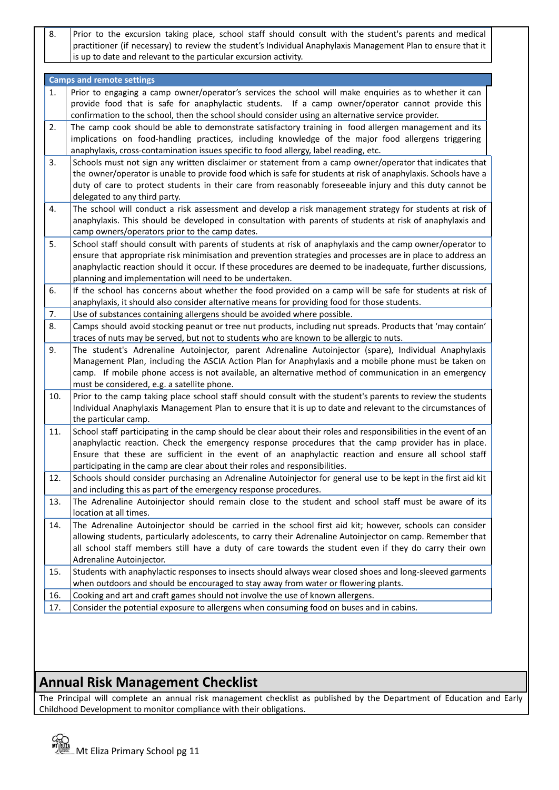8. Prior to the excursion taking place, school staff should consult with the student's parents and medical practitioner (if necessary) to review the student's Individual Anaphylaxis Management Plan to ensure that it is up to date and relevant to the particular excursion activity.

|     | <b>Camps and remote settings</b>                                                                                 |
|-----|------------------------------------------------------------------------------------------------------------------|
| 1.  | Prior to engaging a camp owner/operator's services the school will make enquiries as to whether it can           |
|     | provide food that is safe for anaphylactic students. If a camp owner/operator cannot provide this                |
|     | confirmation to the school, then the school should consider using an alternative service provider.               |
| 2.  | The camp cook should be able to demonstrate satisfactory training in food allergen management and its            |
|     | implications on food-handling practices, including knowledge of the major food allergens triggering              |
|     | anaphylaxis, cross-contamination issues specific to food allergy, label reading, etc.                            |
| 3.  | Schools must not sign any written disclaimer or statement from a camp owner/operator that indicates that         |
|     | the owner/operator is unable to provide food which is safe for students at risk of anaphylaxis. Schools have a   |
|     | duty of care to protect students in their care from reasonably foreseeable injury and this duty cannot be        |
|     | delegated to any third party.                                                                                    |
| 4.  | The school will conduct a risk assessment and develop a risk management strategy for students at risk of         |
|     | anaphylaxis. This should be developed in consultation with parents of students at risk of anaphylaxis and        |
|     | camp owners/operators prior to the camp dates.                                                                   |
| 5.  | School staff should consult with parents of students at risk of anaphylaxis and the camp owner/operator to       |
|     | ensure that appropriate risk minimisation and prevention strategies and processes are in place to address an     |
|     | anaphylactic reaction should it occur. If these procedures are deemed to be inadequate, further discussions,     |
|     | planning and implementation will need to be undertaken.                                                          |
| 6.  | If the school has concerns about whether the food provided on a camp will be safe for students at risk of        |
|     | anaphylaxis, it should also consider alternative means for providing food for those students.                    |
| 7.  | Use of substances containing allergens should be avoided where possible.                                         |
| 8.  | Camps should avoid stocking peanut or tree nut products, including nut spreads. Products that 'may contain'      |
|     | traces of nuts may be served, but not to students who are known to be allergic to nuts.                          |
| 9.  | The student's Adrenaline Autoinjector, parent Adrenaline Autoinjector (spare), Individual Anaphylaxis            |
|     | Management Plan, including the ASCIA Action Plan for Anaphylaxis and a mobile phone must be taken on             |
|     | camp. If mobile phone access is not available, an alternative method of communication in an emergency            |
|     | must be considered, e.g. a satellite phone.                                                                      |
| 10. | Prior to the camp taking place school staff should consult with the student's parents to review the students     |
|     | Individual Anaphylaxis Management Plan to ensure that it is up to date and relevant to the circumstances of      |
|     | the particular camp.                                                                                             |
| 11. | School staff participating in the camp should be clear about their roles and responsibilities in the event of an |
|     | anaphylactic reaction. Check the emergency response procedures that the camp provider has in place.              |
|     | Ensure that these are sufficient in the event of an anaphylactic reaction and ensure all school staff            |
|     | participating in the camp are clear about their roles and responsibilities.                                      |
| 12. | Schools should consider purchasing an Adrenaline Autoinjector for general use to be kept in the first aid kit    |
|     | and including this as part of the emergency response procedures.                                                 |
| 13. | The Adrenaline Autoinjector should remain close to the student and school staff must be aware of its             |
|     | location at all times.                                                                                           |
| 14. | The Adrenaline Autoinjector should be carried in the school first aid kit; however, schools can consider         |
|     | allowing students, particularly adolescents, to carry their Adrenaline Autoinjector on camp. Remember that       |
|     | all school staff members still have a duty of care towards the student even if they do carry their own           |
|     | Adrenaline Autoinjector.                                                                                         |
| 15. | Students with anaphylactic responses to insects should always wear closed shoes and long-sleeved garments        |
|     | when outdoors and should be encouraged to stay away from water or flowering plants.                              |
| 16. | Cooking and art and craft games should not involve the use of known allergens.                                   |
| 17. | Consider the potential exposure to allergens when consuming food on buses and in cabins.                         |
|     |                                                                                                                  |

# **Annual Risk Management Checklist**

The Principal will complete an annual risk management checklist as published by the Department of Education and Early Childhood Development to monitor compliance with their obligations.